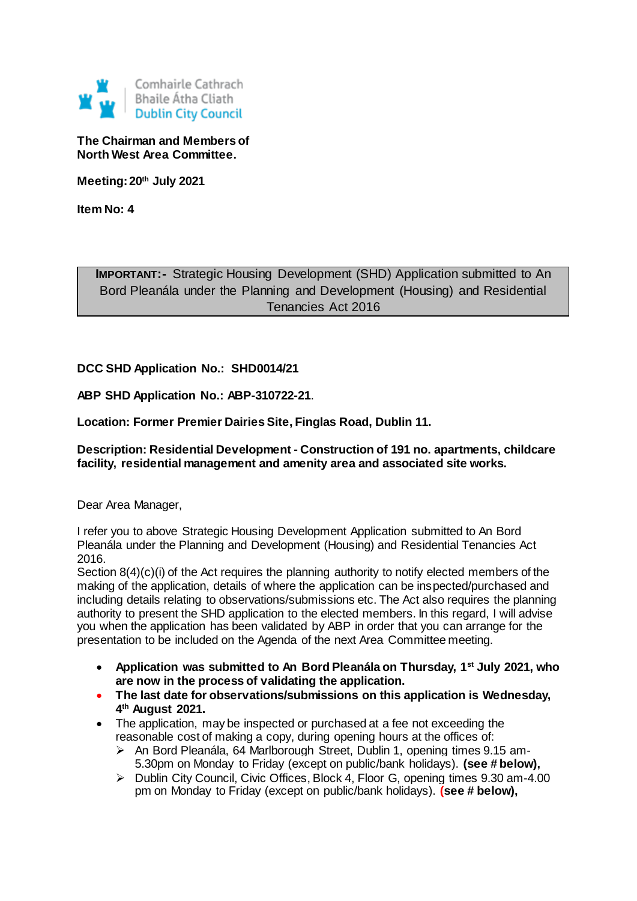

**The Chairman and Members of North West Area Committee.**

**Meeting: 20th July 2021**

**Item No: 4**

**IMPORTANT:-** Strategic Housing Development (SHD) Application submitted to An Bord Pleanála under the Planning and Development (Housing) and Residential Tenancies Act 2016

## **DCC SHD Application No.: SHD0014/21**

**ABP SHD Application No.: ABP-310722-21**.

**Location: Former Premier Dairies Site, Finglas Road, Dublin 11.**

**Description: Residential Development - Construction of 191 no. apartments, childcare facility, residential management and amenity area and associated site works.**

Dear Area Manager,

I refer you to above Strategic Housing Development Application submitted to An Bord Pleanála under the Planning and Development (Housing) and Residential Tenancies Act 2016.

Section  $8(4)(c)(i)$  of the Act requires the planning authority to notify elected members of the making of the application, details of where the application can be inspected/purchased and including details relating to observations/submissions etc. The Act also requires the planning authority to present the SHD application to the elected members. In this regard, I will advise you when the application has been validated by ABP in order that you can arrange for the presentation to be included on the Agenda of the next Area Committee meeting.

- **Application was submitted to An Bord Pleanála on Thursday, 1st July 2021, who are now in the process of validating the application.**
- **The last date for observations/submissions on this application is Wednesday, 4 th August 2021.**
- The application, may be inspected or purchased at a fee not exceeding the reasonable cost of making a copy, during opening hours at the offices of:
	- An Bord Pleanála, 64 Marlborough Street, Dublin 1, opening times 9.15 am-5.30pm on Monday to Friday (except on public/bank holidays). **(see # below),**
	- ▶ Dublin City Council, Civic Offices, Block 4, Floor G, opening times 9.30 am-4.00 pm on Monday to Friday (except on public/bank holidays). **(see # below),**